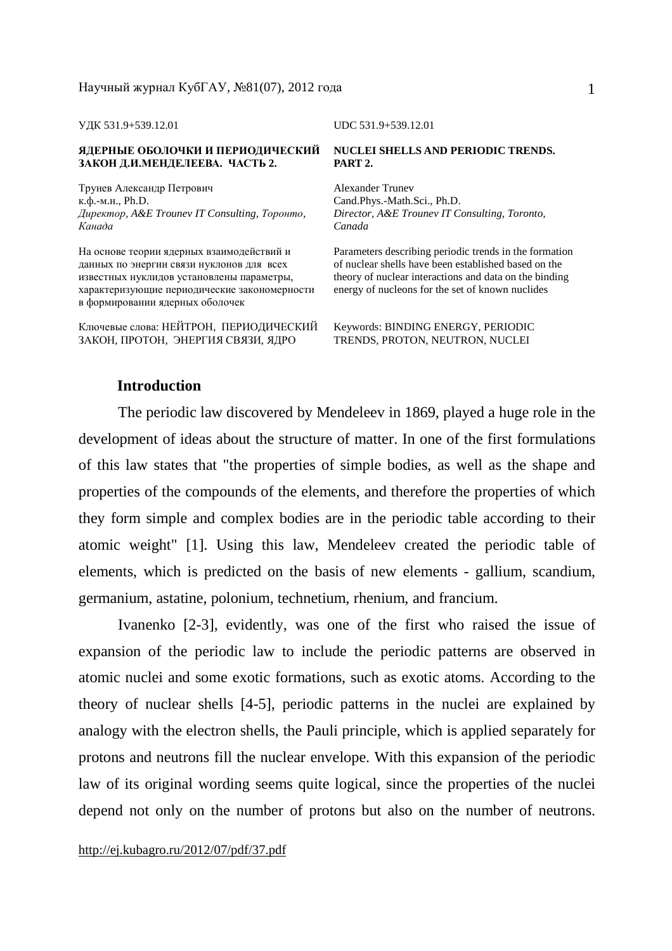#### **ЯДЕРНЫЕ ОБОЛОЧКИ И ПЕРИОДИЧЕСКИЙ ЗАКОН Д.И.МЕНДЕЛЕЕВА. ЧАСТЬ 2.**

Трунев Александр Петрович к.ф.-м.н., Ph.D. *Директор, A&E Trounev IT Consulting, Торонто, Канада*

На основе теории ядерных взаимодействий и данных по энергии связи нуклонов для всех известных нуклидов установлены параметры, характеризующие периодические закономерности в формировании ядерных оболочек

Ключевые слова: НЕЙТРОН, ПЕРИОДИЧЕСКИЙ ЗАКОН, ПРОТОН, ЭНЕРГИЯ СВЯЗИ, ЯДРО

УДК 531.9+539.12.01 UDC 531.9+539.12.01

### **NUCLEI SHELLS AND PERIODIC TRENDS. PART 2.**

Alexander Trunev Cand.Phys.-Math.Sci., Ph.D. *Director, A&E Trounev IT Consulting, Toronto, Canada* 

Parameters describing periodic trends in the formation of nuclear shells have been established based on the theory of nuclear interactions and data on the binding energy of nucleons for the set of known nuclides

Keywords: BINDING ENERGY, PERIODIC TRENDS, PROTON, NEUTRON, NUCLEI

## **Introduction**

The periodic law discovered by Mendeleev in 1869, played a huge role in the development of ideas about the structure of matter. In one of the first formulations of this law states that "the properties of simple bodies, as well as the shape and properties of the compounds of the elements, and therefore the properties of which they form simple and complex bodies are in the periodic table according to their atomic weight" [1]. Using this law, Mendeleev created the periodic table of elements, which is predicted on the basis of new elements - gallium, scandium, germanium, astatine, polonium, technetium, rhenium, and francium.

Ivanenko [2-3], evidently, was one of the first who raised the issue of expansion of the periodic law to include the periodic patterns are observed in atomic nuclei and some exotic formations, such as exotic atoms. According to the theory of nuclear shells [4-5], periodic patterns in the nuclei are explained by analogy with the electron shells, the Pauli principle, which is applied separately for protons and neutrons fill the nuclear envelope. With this expansion of the periodic law of its original wording seems quite logical, since the properties of the nuclei depend not only on the number of protons but also on the number of neutrons.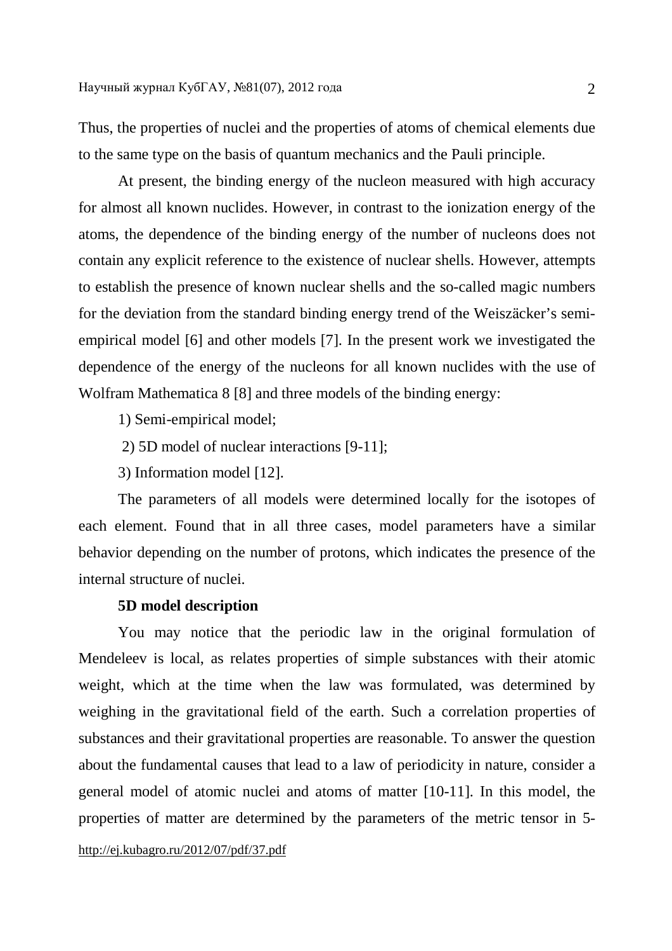Thus, the properties of nuclei and the properties of atoms of chemical elements due to the same type on the basis of quantum mechanics and the Pauli principle.

At present, the binding energy of the nucleon measured with high accuracy for almost all known nuclides. However, in contrast to the ionization energy of the atoms, the dependence of the binding energy of the number of nucleons does not contain any explicit reference to the existence of nuclear shells. However, attempts to establish the presence of known nuclear shells and the so-called magic numbers for the deviation from the standard binding energy trend of the Weiszäcker's semiempirical model [6] and other models [7]. In the present work we investigated the dependence of the energy of the nucleons for all known nuclides with the use of Wolfram Mathematica 8 [8] and three models of the binding energy:

- 1) Semi-empirical model;
- 2) 5D model of nuclear interactions [9-11];
- 3) Information model [12].

The parameters of all models were determined locally for the isotopes of each element. Found that in all three cases, model parameters have a similar behavior depending on the number of protons, which indicates the presence of the internal structure of nuclei.

### **5D model description**

You may notice that the periodic law in the original formulation of Mendeleev is local, as relates properties of simple substances with their atomic weight, which at the time when the law was formulated, was determined by weighing in the gravitational field of the earth. Such a correlation properties of substances and their gravitational properties are reasonable. To answer the question about the fundamental causes that lead to a law of periodicity in nature, consider a general model of atomic nuclei and atoms of matter [10-11]. In this model, the properties of matter are determined by the parameters of the metric tensor in 5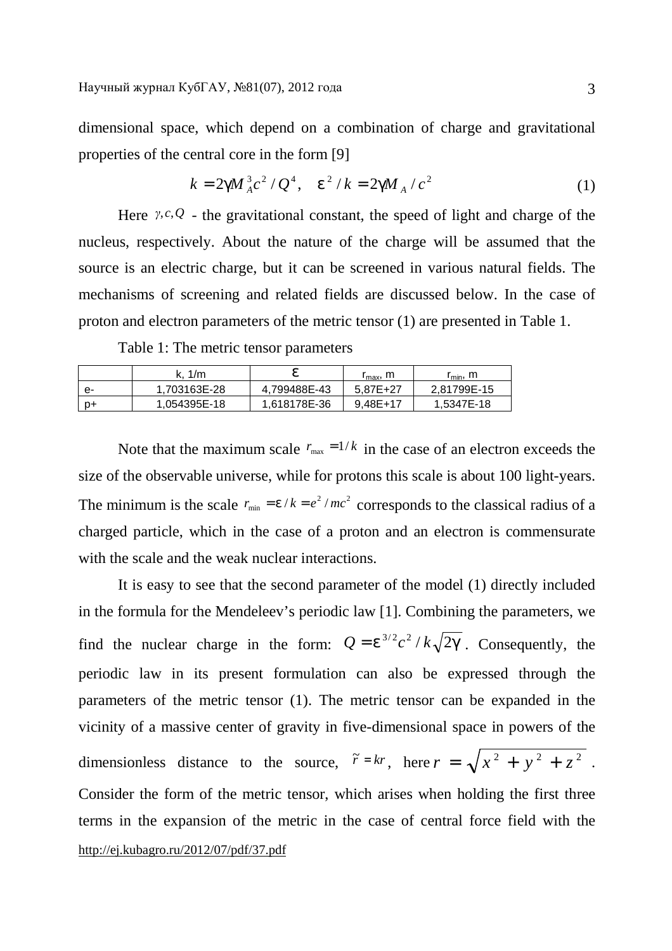dimensional space, which depend on a combination of charge and gravitational properties of the central core in the form [9]

$$
k = 2gM_A^3c^2/Q^4, \quad e^2/k = 2gM_A/c^2 \tag{1}
$$

Here *γ*,*c*,*Q* - the gravitational constant, the speed of light and charge of the nucleus, respectively. About the nature of the charge will be assumed that the source is an electric charge, but it can be screened in various natural fields. The mechanisms of screening and related fields are discussed below. In the case of proton and electron parameters of the metric tensor (1) are presented in Table 1.

Table 1: The metric tensor parameters

|    | k. 1/m       | ρ            | $r_{\rm max}$ , m | r <sub>min</sub> , m |
|----|--------------|--------------|-------------------|----------------------|
| е- | 1.703163E-28 | 4.799488E-43 | 5.87E+27          | 2.81799E-15          |
| p+ | 1.054395E-18 | 1.618178E-36 | $9.48E+17$        | 1.5347E-18           |

Note that the maximum scale  $r_{\text{max}} = 1/k$  in the case of an electron exceeds the size of the observable universe, while for protons this scale is about 100 light-years. The minimum is the scale  $r_{\text{min}} = e/k = e^2/mc^2$  corresponds to the classical radius of a charged particle, which in the case of a proton and an electron is commensurate with the scale and the weak nuclear interactions.

<http://ej.kubagro.ru/2012/07/pdf/37.pdf> It is easy to see that the second parameter of the model (1) directly included in the formula for the Mendeleev's periodic law [1]. Combining the parameters, we find the nuclear charge in the form:  $Q = e^{3/2} c^2 / k \sqrt{2g}$ . Consequently, the periodic law in its present formulation can also be expressed through the parameters of the metric tensor (1). The metric tensor can be expanded in the vicinity of a massive center of gravity in five-dimensional space in powers of the dimensionless distance to the source,  $\tilde{r} = kr$ , here  $r = \sqrt{x^2 + y^2 + z^2}$ . Consider the form of the metric tensor, which arises when holding the first three terms in the expansion of the metric in the case of central force field with the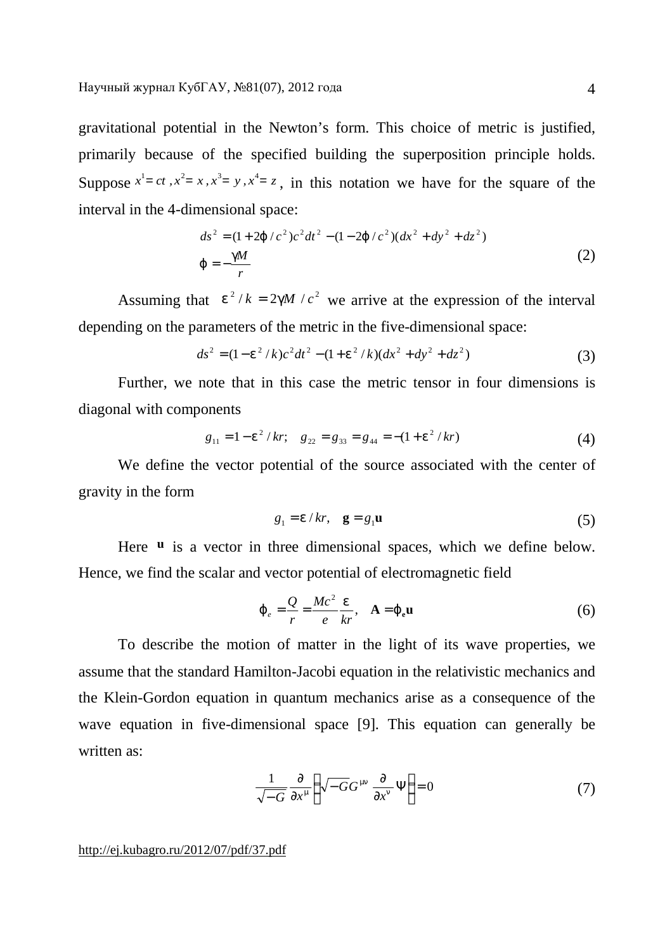gravitational potential in the Newton's form. This choice of metric is justified, primarily because of the specified building the superposition principle holds. Suppose  $x^1 = ct$ ,  $x^2 = x$ ,  $x^3 = y$ ,  $x^4 = z$ , in this notation we have for the square of the interval in the 4-dimensional space:

$$
ds^{2} = (1+2j/c^{2})c^{2}dt^{2} - (1-2j/c^{2})(dx^{2} + dy^{2} + dz^{2})
$$
  
\n
$$
j = -\frac{gM}{r}
$$
 (2)

Assuming that  $e^2/k = 2gM/c^2$  we arrive at the expression of the interval depending on the parameters of the metric in the five-dimensional space:

$$
ds^{2} = (1 - e^{2} / k)c^{2}dt^{2} - (1 + e^{2} / k)(dx^{2} + dy^{2} + dz^{2})
$$
\n(3)

Further, we note that in this case the metric tensor in four dimensions is diagonal with components

$$
g_{11} = 1 - e^2 / kr
$$
;  $g_{22} = g_{33} = g_{44} = -(1 + e^2 / kr)$  (4)

We define the vector potential of the source associated with the center of gravity in the form

$$
g_1 = e/kr, \quad \mathbf{g} = g_1 \mathbf{u} \tag{5}
$$

Here **u** is a vector in three dimensional spaces, which we define below. Hence, we find the scalar and vector potential of electromagnetic field

$$
\dot{J}_e = \frac{Q}{r} = \frac{Mc^2}{e} \frac{e}{kr}, \quad A = j_e \mathbf{u}
$$
 (6)

To describe the motion of matter in the light of its wave properties, we assume that the standard Hamilton-Jacobi equation in the relativistic mechanics and the Klein-Gordon equation in quantum mechanics arise as a consequence of the wave equation in five-dimensional space [9]. This equation can generally be written as:

$$
\frac{1}{\sqrt{-G}} \frac{\partial}{\partial x^m} \left( \sqrt{-G} G^{mn} \frac{\partial}{\partial x^n} \Psi \right) = 0 \tag{7}
$$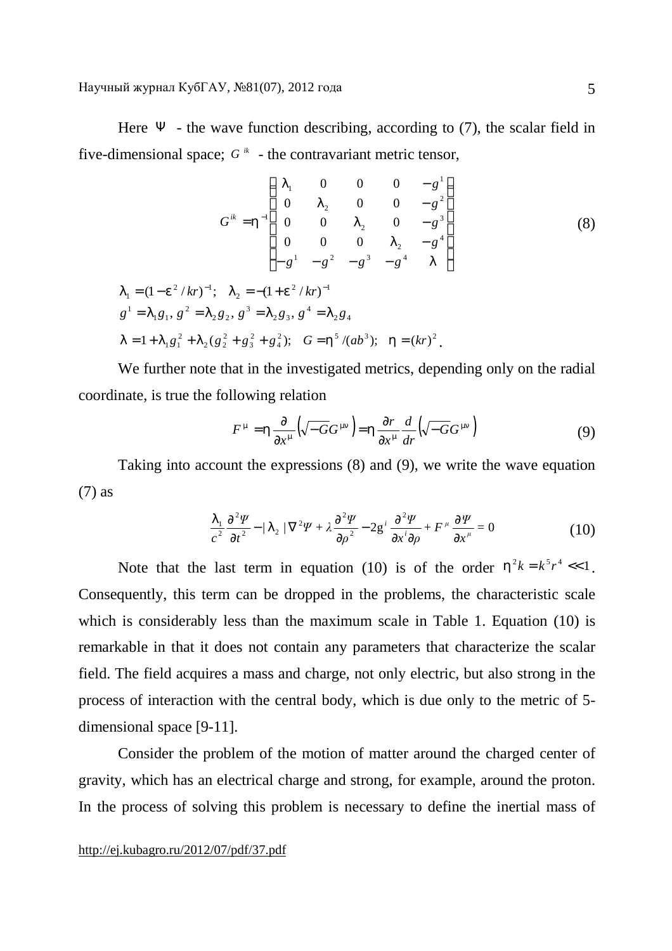Here  $\Psi$  - the wave function describing, according to (7), the scalar field in five-dimensional space;  $G^k$  - the contravariant metric tensor,

$$
G^{ik} = h^{-1} \begin{pmatrix} I_1 & 0 & 0 & 0 & -g^1 \\ 0 & I_2 & 0 & 0 & -g^2 \\ 0 & 0 & I_2 & 0 & -g^3 \\ 0 & 0 & 0 & I_2 & -g^4 \\ -g^1 & -g^2 & -g^3 & -g^4 & I \end{pmatrix}
$$
(8)  

$$
I_1 = (1 - e^2 / kr)^{-1}; \quad I_2 = -(1 + e^2 / kr)^{-1}
$$

$$
g1 = I1g1, g2 = I2g2, g3 = I2g3, g4 = I2g4
$$
  
\n
$$
I = 1 + I1g12 + I2(g22 + g32 + g42); G = h5/(ab3); h = (kr)2.
$$

We further note that in the investigated metrics, depending only on the radial coordinate, is true the following relation

$$
F^{\,m} = h \frac{\partial}{\partial x^{\,m}} \left( \sqrt{-G} G^{\,mn} \right) = h \frac{\partial r}{\partial x^{\,m}} \frac{d}{dr} \left( \sqrt{-G} G^{\,mn} \right) \tag{9}
$$

Taking into account the expressions (8) and (9), we write the wave equation (7) as

$$
\frac{I_1}{c^2} \frac{\partial^2 \Psi}{\partial t^2} - \frac{I_2}{\nabla^2 \Psi + \lambda \frac{\partial^2 \Psi}{\partial \rho^2} - 2g^i \frac{\partial^2 \Psi}{\partial x^i \partial \rho} + F^{\mu} \frac{\partial \Psi}{\partial x^{\mu}} = 0
$$
\n(10)

Note that the last term in equation (10) is of the order  $h^2k = k^5r^4 \ll 1$ . Consequently, this term can be dropped in the problems, the characteristic scale which is considerably less than the maximum scale in Table 1. Equation (10) is remarkable in that it does not contain any parameters that characterize the scalar field. The field acquires a mass and charge, not only electric, but also strong in the process of interaction with the central body, which is due only to the metric of 5 dimensional space [9-11].

Consider the problem of the motion of matter around the charged center of gravity, which has an electrical charge and strong, for example, around the proton. In the process of solving this problem is necessary to define the inertial mass of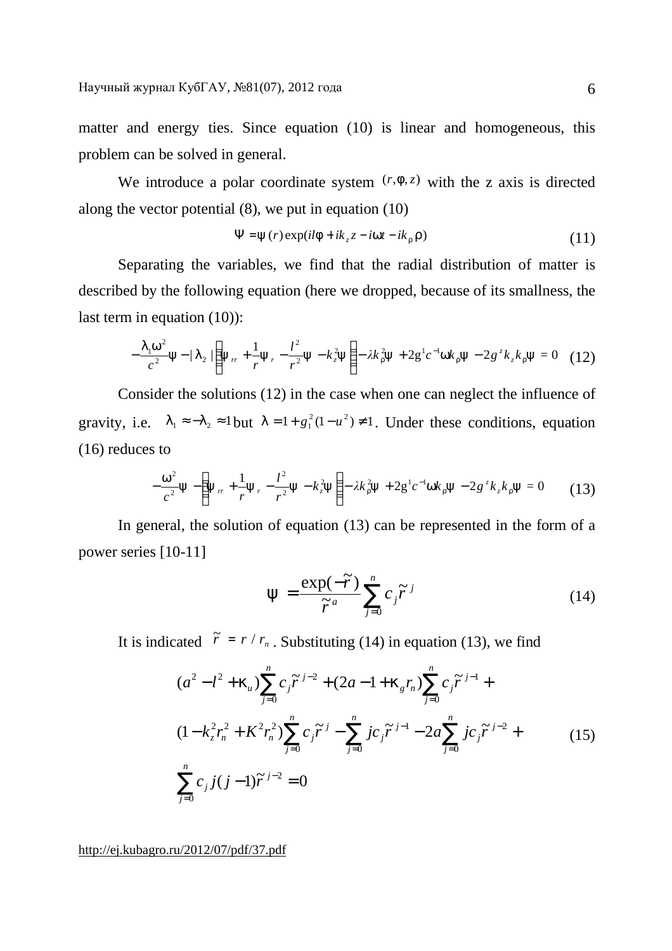matter and energy ties. Since equation (10) is linear and homogeneous, this problem can be solved in general.

We introduce a polar coordinate system  $(r, f, z)$  with the z axis is directed along the vector potential (8), we put in equation (10)

$$
\Psi = y(r) \exp(i l f + i k_z z - i w t - i k_r r)
$$
\n(11)

Separating the variables, we find that the radial distribution of matter is described by the following equation (here we dropped, because of its smallness, the last term in equation (10)):

$$
-\frac{I_1 w^2}{c^2} y - \frac{I_2}{I_2} \left( y_r + \frac{1}{r} y_r - \frac{l^2}{r^2} y - k_z^2 y \right) - \lambda k_x^2 y + 2 g^1 c^{-1} w k_x y - 2 g^2 k_z k_x y = 0 \quad (12)
$$

Consider the solutions (12) in the case when one can neglect the influence of gravity, i.e.  $I_1 \approx -I_2 \approx 1$  but  $I = 1 + g_1^2 (1 - u^2) \neq 1$ . Under these conditions, equation (16) reduces to

$$
-\frac{w^2}{c^2}y - \left(y_{rr} + \frac{1}{r}y_r - \frac{l^2}{r^2}y - k_z^2y\right) - \lambda k_{r}^2y + 2g^1c^{-1}wk_ry - 2g^2k_zk_ry = 0 \qquad (13)
$$

In general, the solution of equation (13) can be represented in the form of a power series [10-11]

$$
y = \frac{\exp(-\widetilde{r})}{\widetilde{r}^a} \sum_{j=0}^n c_j \widetilde{r}^j
$$
 (14)

It is indicated  $\tilde{r} = r / r_n$ . Substituting (14) in equation (13), we find

$$
(a^{2} - l^{2} + k_{u}) \sum_{j=0}^{n} c_{j} \tilde{r}^{j-2} + (2a - 1 + k_{g}r_{n}) \sum_{j=0}^{n} c_{j} \tilde{r}^{j-1} +
$$
  

$$
(1 - k_{z}^{2}r_{n}^{2} + K^{2}r_{n}^{2}) \sum_{j=0}^{n} c_{j} \tilde{r}^{j} - \sum_{j=0}^{n} j c_{j} \tilde{r}^{j-1} - 2a \sum_{j=0}^{n} j c_{j} \tilde{r}^{j-2} +
$$
  

$$
\sum_{j=0}^{n} c_{j} j(j-1) \tilde{r}^{j-2} = 0
$$
 (15)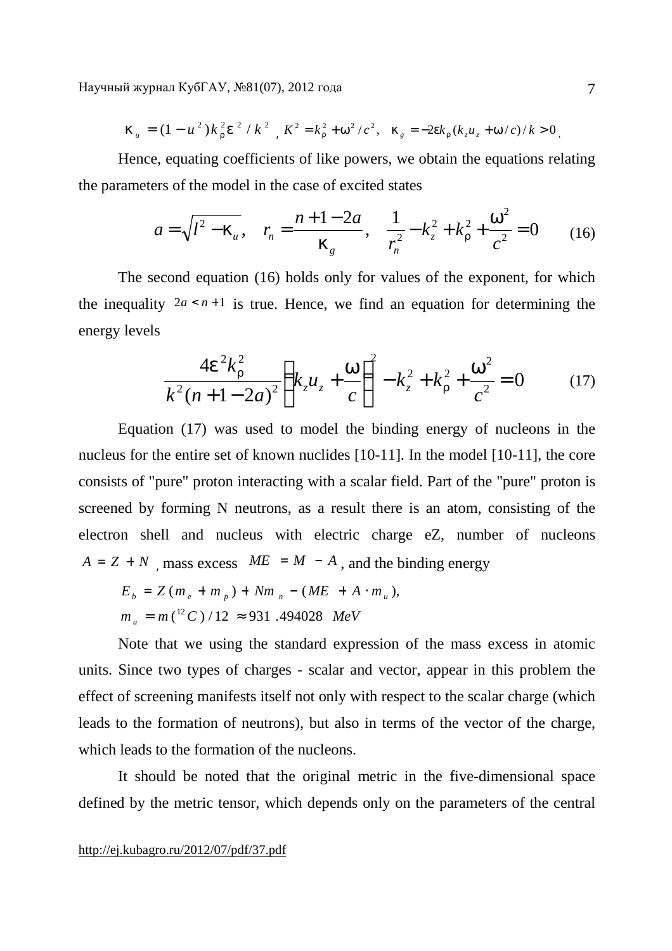$$
k_{u} = (1 - u^{2})k_{r}^{2}e^{2} / k^{2} , K^{2} = k_{r}^{2} + w^{2}/c^{2}, k_{g} = -2ek_{r}(k_{z}u_{z} + w/c)/k > 0.
$$

Hence, equating coefficients of like powers, we obtain the equations relating the parameters of the model in the case of excited states

$$
a = \sqrt{l^2 - k_u}, \quad r_n = \frac{n + 1 - 2a}{k_g}, \quad \frac{1}{r_n^2} - k_z^2 + k_r^2 + \frac{w^2}{c^2} = 0 \tag{16}
$$

The second equation (16) holds only for values of the exponent, for which the inequality  $2a \le n+1$  is true. Hence, we find an equation for determining the energy levels

$$
\frac{4e^2k_r^2}{k^2(n+1-2a)^2}\left(k_zu_z+\frac{w}{c}\right)^2-k_z^2+k_r^2+\frac{w^2}{c^2}=0\tag{17}
$$

Equation (17) was used to model the binding energy of nucleons in the nucleus for the entire set of known nuclides [10-11]. In the model [10-11], the core consists of "pure" proton interacting with a scalar field. Part of the "pure" proton is screened by forming N neutrons, as a result there is an atom, consisting of the electron shell and nucleus with electric charge eZ, number of nucleons  $A = Z + N$ , mass excess  $ME = M - A$ , and the binding energy

$$
E_b = Z(m_e + m_p) + Nm_n - (ME + A \cdot m_u),
$$
  
\n
$$
m_u = m({}^{12}C)/12 \approx 931.494028 \text{ MeV}
$$

Note that we using the standard expression of the mass excess in atomic units. Since two types of charges - scalar and vector, appear in this problem the effect of screening manifests itself not only with respect to the scalar charge (which leads to the formation of neutrons), but also in terms of the vector of the charge, which leads to the formation of the nucleons.

It should be noted that the original metric in the five-dimensional space defined by the metric tensor, which depends only on the parameters of the central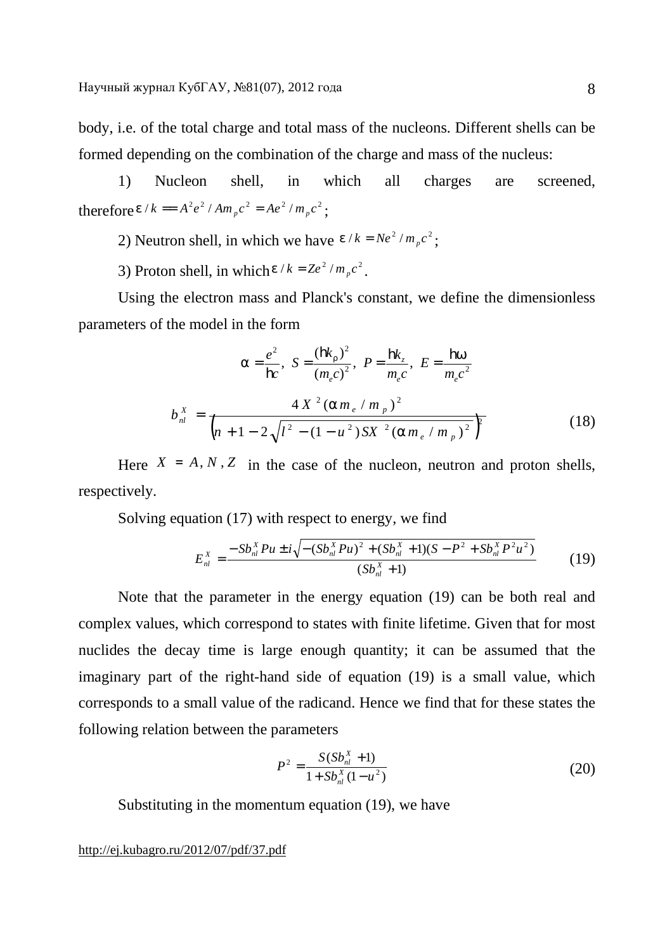body, i.e. of the total charge and total mass of the nucleons. Different shells can be formed depending on the combination of the charge and mass of the nucleus:

1) Nucleon shell, in which all charges are screened, therefore  $e/k = A^2 e^2 / A m_p c^2 = A e^2 / m_p c^2$ ;

2) Neutron shell, in which we have  $e/k = Ne^2/m_p c^2$ ;

3) Proton shell, in which  $e/k = Ze^2/m_p c^2$ .

Using the electron mass and Planck's constant, we define the dimensionless parameters of the model in the form

$$
a = \frac{e^2}{\mathbf{h}c}, \ S = \frac{(\mathbf{h}k_r)^2}{(m_e c)^2}, \ P = \frac{\mathbf{h}k_z}{m_e c}, \ E = \frac{\mathbf{h}w}{m_e c^2}
$$
  

$$
b_{nl}^X = \frac{4 X^2 (am_e / m_p)^2}{\left(n + 1 - 2\sqrt{l^2 - (1 - u^2)SX^2 (am_e / m_p)^2}\right)^2}
$$
(18)

Here  $X = A, N, Z$  in the case of the nucleon, neutron and proton shells, respectively.

Solving equation (17) with respect to energy, we find

$$
E_{nl}^X = \frac{-Sb_{nl}^X Pu \pm i\sqrt{-\left(Sb_{nl}^X Pu\right)^2 + \left(Sb_{nl}^X + 1\right)\left(S - P^2 + Sb_{nl}^X P^2 u^2\right)}}{\left(Sb_{nl}^X + 1\right)}\tag{19}
$$

Note that the parameter in the energy equation (19) can be both real and complex values, which correspond to states with finite lifetime. Given that for most nuclides the decay time is large enough quantity; it can be assumed that the imaginary part of the right-hand side of equation (19) is a small value, which corresponds to a small value of the radicand. Hence we find that for these states the following relation between the parameters

$$
P^{2} = \frac{S(Sb_{nl}^{X} + 1)}{1 + Sb_{nl}^{X}(1 - u^{2})}
$$
 (20)

Substituting in the momentum equation (19), we have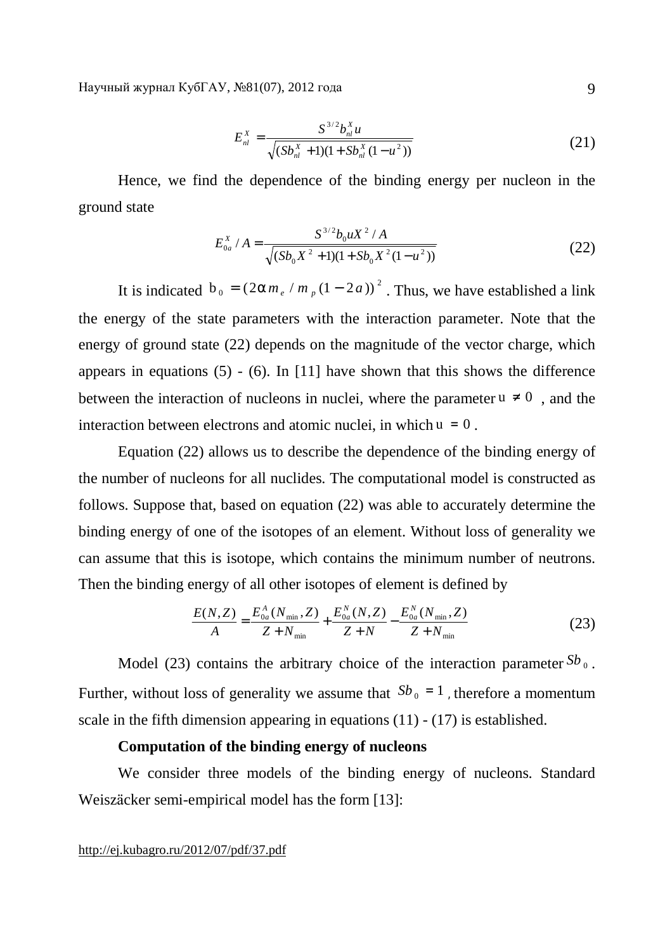$$
E_{nl}^{X} = \frac{S^{3/2}b_{nl}^{X}u}{\sqrt{(Sb_{nl}^{X} + 1)(1 + Sb_{nl}^{X}(1 - u^{2}))}}
$$
(21)

Hence, we find the dependence of the binding energy per nucleon in the ground state

$$
E_{0a}^{X} / A = \frac{S^{3/2} b_0 u X^2 / A}{\sqrt{(Sb_0 X^2 + 1)(1 + Sb_0 X^2 (1 - u^2))}}
$$
(22)

It is indicated  $b_0 = (2am_e/m_p(1-2a))^2$ . Thus, we have established a link the energy of the state parameters with the interaction parameter. Note that the energy of ground state (22) depends on the magnitude of the vector charge, which appears in equations  $(5)$  -  $(6)$ . In [11] have shown that this shows the difference between the interaction of nucleons in nuclei, where the parameter  $u \neq 0$ , and the interaction between electrons and atomic nuclei, in which  $u = 0$ .

Equation (22) allows us to describe the dependence of the binding energy of the number of nucleons for all nuclides. The computational model is constructed as follows. Suppose that, based on equation (22) was able to accurately determine the binding energy of one of the isotopes of an element. Without loss of generality we can assume that this is isotope, which contains the minimum number of neutrons. Then the binding energy of all other isotopes of element is defined by

$$
\frac{E(N,Z)}{A} = \frac{E_{0a}^{A}(N_{\min},Z)}{Z+N_{\min}} + \frac{E_{0a}^{N}(N,Z)}{Z+N} - \frac{E_{0a}^{N}(N_{\min},Z)}{Z+N_{\min}}
$$
(23)

Model (23) contains the arbitrary choice of the interaction parameter  $Sb_0$ . Further, without loss of generality we assume that  $Sb_0 = 1$ , therefore a momentum scale in the fifth dimension appearing in equations  $(11)$  -  $(17)$  is established.

### **Computation of the binding energy of nucleons**

We consider three models of the binding energy of nucleons. Standard Weiszäcker semi-empirical model has the form [13]: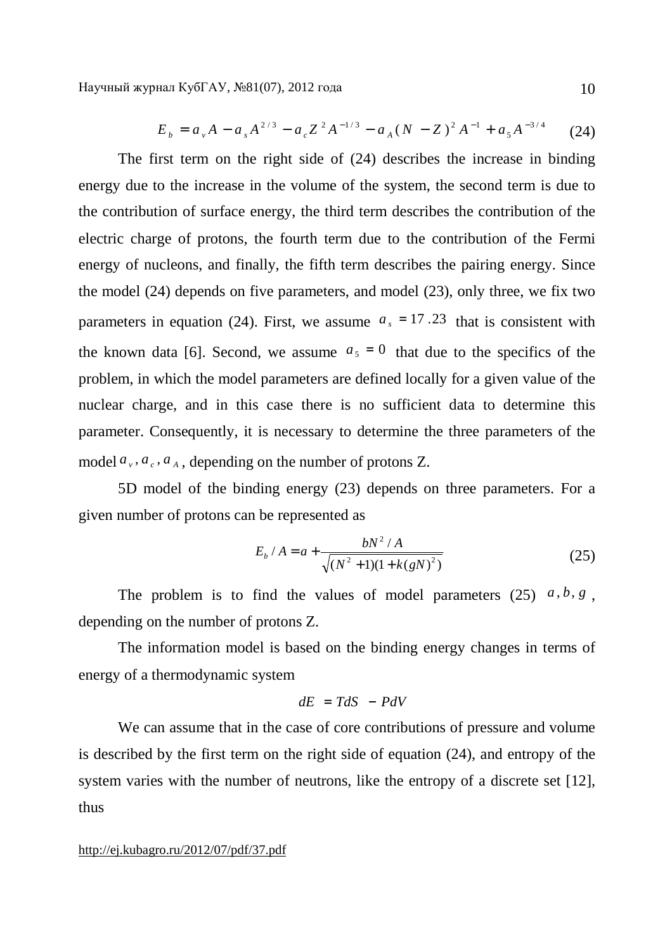$$
E_b = a_v A - a_s A^{2/3} - a_c Z^2 A^{-1/3} - a_A (N - Z)^2 A^{-1} + a_s A^{-3/4}
$$
 (24)

The first term on the right side of (24) describes the increase in binding energy due to the increase in the volume of the system, the second term is due to the contribution of surface energy, the third term describes the contribution of the electric charge of protons, the fourth term due to the contribution of the Fermi energy of nucleons, and finally, the fifth term describes the pairing energy. Since the model (24) depends on five parameters, and model (23), only three, we fix two parameters in equation (24). First, we assume  $a_s = 17.23$  that is consistent with the known data [6]. Second, we assume  $a_5 = 0$  that due to the specifics of the problem, in which the model parameters are defined locally for a given value of the nuclear charge, and in this case there is no sufficient data to determine this parameter. Consequently, it is necessary to determine the three parameters of the model  $a_v$ ,  $a_e$ ,  $a_A$ , depending on the number of protons Z.

5D model of the binding energy (23) depends on three parameters. For a given number of protons can be represented as

$$
E_b / A = a + \frac{bN^2 / A}{\sqrt{(N^2 + 1)(1 + k(gN)^2)}}
$$
 (25)

The problem is to find the values of model parameters  $(25)$   $a, b, g$ , depending on the number of protons Z.

The information model is based on the binding energy changes in terms of energy of a thermodynamic system

$$
dE = TdS - PdV
$$

We can assume that in the case of core contributions of pressure and volume is described by the first term on the right side of equation (24), and entropy of the system varies with the number of neutrons, like the entropy of a discrete set [12], thus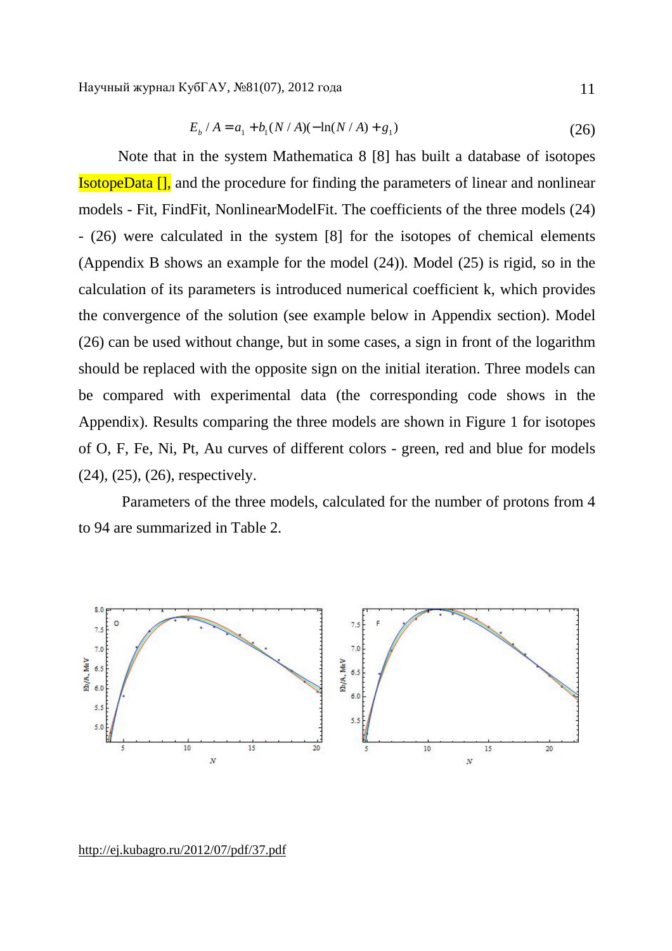$$
E_b / A = a_1 + b_1 (N / A) (-\ln(N / A) + g_1)
$$
\n(26)

Note that in the system Mathematica 8 [8] has built a database of isotopes IsotopeData [], and the procedure for finding the parameters of linear and nonlinear models - Fit, FindFit, NonlinearModelFit. The coefficients of the three models (24) - (26) were calculated in the system [8] for the isotopes of chemical elements (Appendix B shows an example for the model (24)). Model (25) is rigid, so in the calculation of its parameters is introduced numerical coefficient k, which provides the convergence of the solution (see example below in Appendix section). Model (26) can be used without change, but in some cases, a sign in front of the logarithm should be replaced with the opposite sign on the initial iteration. Three models can be compared with experimental data (the corresponding code shows in the Appendix). Results comparing the three models are shown in Figure 1 for isotopes of O, F, Fe, Ni, Pt, Au curves of different colors - green, red and blue for models (24), (25), (26), respectively.

Parameters of the three models, calculated for the number of protons from 4 to 94 are summarized in Table 2.



<http://ej.kubagro.ru/2012/07/pdf/37.pdf>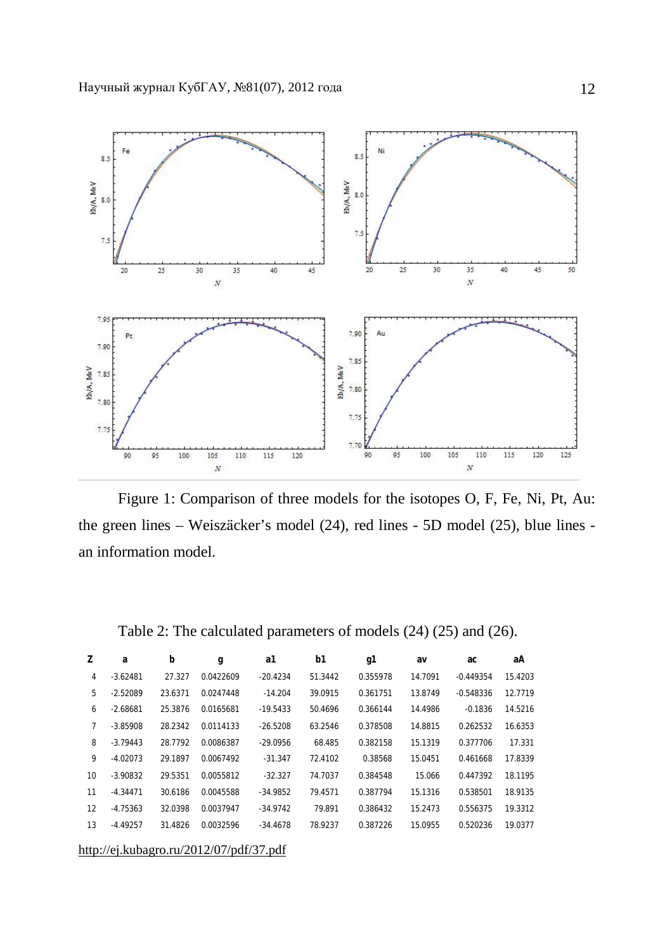

Figure 1: Comparison of three models for the isotopes O, F, Fe, Ni, Pt, Au: the green lines – Weiszäcker's model (24), red lines - 5D model (25), blue lines an information model.

| Z  | a          | b       | g         | a1         | b1      | g1       | av      | ac          | aА      |
|----|------------|---------|-----------|------------|---------|----------|---------|-------------|---------|
| 4  | $-3.62481$ | 27.327  | 0.0422609 | $-20.4234$ | 51.3442 | 0.355978 | 14.7091 | $-0.449354$ | 15.4203 |
| 5  | $-2.52089$ | 23.6371 | 0.0247448 | $-14.204$  | 39.0915 | 0.361751 | 13.8749 | $-0.548336$ | 12.7719 |
| 6  | $-2.68681$ | 25.3876 | 0.0165681 | $-19.5433$ | 50.4696 | 0.366144 | 14.4986 | $-0.1836$   | 14.5216 |
| 7  | $-3.85908$ | 28.2342 | 0.0114133 | $-26.5208$ | 63.2546 | 0.378508 | 14.8815 | 0.262532    | 16.6353 |
| 8  | $-3.79443$ | 28.7792 | 0.0086387 | $-29.0956$ | 68.485  | 0.382158 | 15.1319 | 0.377706    | 17.331  |
| 9  | $-4.02073$ | 29.1897 | 0.0067492 | $-31.347$  | 72.4102 | 0.38568  | 15.0451 | 0.461668    | 17.8339 |
| 10 | $-3.90832$ | 29.5351 | 0.0055812 | $-32.327$  | 74.7037 | 0.384548 | 15.066  | 0.447392    | 18.1195 |
| 11 | $-4.34471$ | 30.6186 | 0.0045588 | $-34.9852$ | 79.4571 | 0.387794 | 15.1316 | 0.538501    | 18.9135 |
| 12 | $-4.75363$ | 32.0398 | 0.0037947 | $-34.9742$ | 79.891  | 0.386432 | 15.2473 | 0.556375    | 19.3312 |
| 13 | $-4.49257$ | 31.4826 | 0.0032596 | -34.4678   | 78.9237 | 0.387226 | 15.0955 | 0.520236    | 19.0377 |
|    |            |         |           |            |         |          |         |             |         |

Table 2: The calculated parameters of models (24) (25) and (26).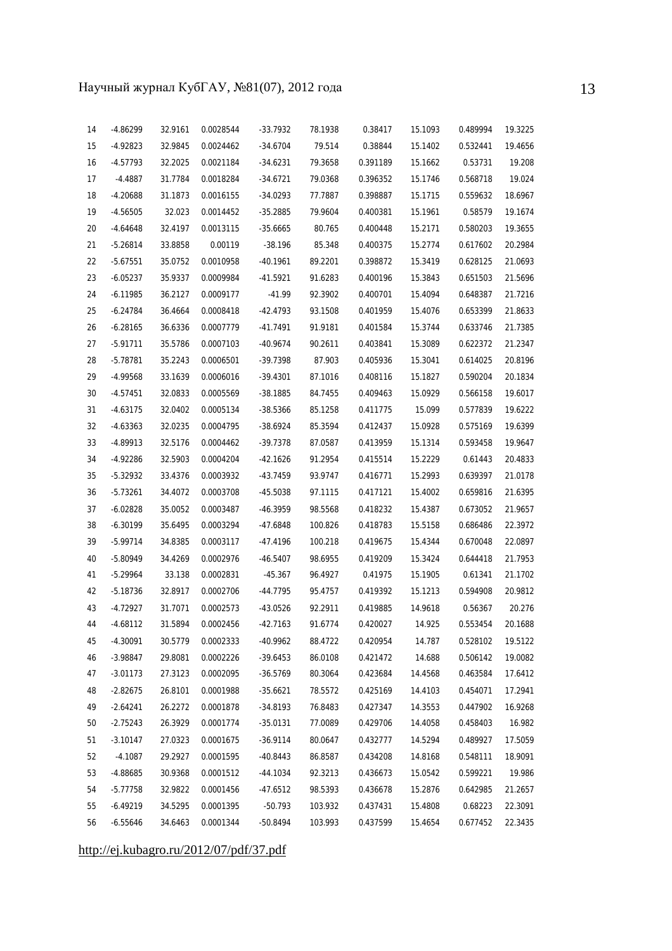| 14 | -4.86299   | 32.9161 | 0.0028544 | $-33.7932$ | 78.1938 | 0.38417  | 15.1093 | 0.489994 | 19.3225 |
|----|------------|---------|-----------|------------|---------|----------|---------|----------|---------|
| 15 | -4.92823   | 32.9845 | 0.0024462 | $-34.6704$ | 79.514  | 0.38844  | 15.1402 | 0.532441 | 19.4656 |
| 16 | -4.57793   | 32.2025 | 0.0021184 | $-34.6231$ | 79.3658 | 0.391189 | 15.1662 | 0.53731  | 19.208  |
| 17 | $-4.4887$  | 31.7784 | 0.0018284 | $-34.6721$ | 79.0368 | 0.396352 | 15.1746 | 0.568718 | 19.024  |
| 18 | -4.20688   | 31.1873 | 0.0016155 | $-34.0293$ | 77.7887 | 0.398887 | 15.1715 | 0.559632 | 18.6967 |
| 19 | $-4.56505$ | 32.023  | 0.0014452 | $-35.2885$ | 79.9604 | 0.400381 | 15.1961 | 0.58579  | 19.1674 |
| 20 | -4.64648   | 32.4197 | 0.0013115 | $-35.6665$ | 80.765  | 0.400448 | 15.2171 | 0.580203 | 19.3655 |
| 21 | $-5.26814$ | 33.8858 | 0.00119   | $-38.196$  | 85.348  | 0.400375 | 15.2774 | 0.617602 | 20.2984 |
| 22 | $-5.67551$ | 35.0752 | 0.0010958 | $-40.1961$ | 89.2201 | 0.398872 | 15.3419 | 0.628125 | 21.0693 |
| 23 | $-6.05237$ | 35.9337 | 0.0009984 | $-41.5921$ | 91.6283 | 0.400196 | 15.3843 | 0.651503 | 21.5696 |
| 24 | $-6.11985$ | 36.2127 | 0.0009177 | $-41.99$   | 92.3902 | 0.400701 | 15.4094 | 0.648387 | 21.7216 |
| 25 | $-6.24784$ | 36.4664 | 0.0008418 | -42.4793   | 93.1508 | 0.401959 | 15.4076 | 0.653399 | 21.8633 |
| 26 | $-6.28165$ | 36.6336 | 0.0007779 | $-41.7491$ | 91.9181 | 0.401584 | 15.3744 | 0.633746 | 21.7385 |
| 27 | $-5.91711$ | 35.5786 | 0.0007103 | $-40.9674$ | 90.2611 | 0.403841 | 15.3089 | 0.622372 | 21.2347 |
| 28 | -5.78781   | 35.2243 | 0.0006501 | -39.7398   | 87.903  | 0.405936 | 15.3041 | 0.614025 | 20.8196 |
| 29 | -4.99568   | 33.1639 | 0.0006016 | $-39.4301$ | 87.1016 | 0.408116 | 15.1827 | 0.590204 | 20.1834 |
| 30 | $-4.57451$ | 32.0833 | 0.0005569 | $-38.1885$ | 84.7455 | 0.409463 | 15.0929 | 0.566158 | 19.6017 |
| 31 | $-4.63175$ | 32.0402 | 0.0005134 | $-38.5366$ | 85.1258 | 0.411775 | 15.099  | 0.577839 | 19.6222 |
| 32 | -4.63363   | 32.0235 | 0.0004795 | $-38.6924$ | 85.3594 | 0.412437 | 15.0928 | 0.575169 | 19.6399 |
| 33 | -4.89913   | 32.5176 | 0.0004462 | -39.7378   | 87.0587 | 0.413959 | 15.1314 | 0.593458 | 19.9647 |
| 34 | -4.92286   | 32.5903 | 0.0004204 | $-42.1626$ | 91.2954 | 0.415514 | 15.2229 | 0.61443  | 20.4833 |
| 35 | $-5.32932$ | 33.4376 | 0.0003932 | -43.7459   | 93.9747 | 0.416771 | 15.2993 | 0.639397 | 21.0178 |
| 36 | $-5.73261$ | 34.4072 | 0.0003708 | $-45.5038$ | 97.1115 | 0.417121 | 15.4002 | 0.659816 | 21.6395 |
| 37 | $-6.02828$ | 35.0052 | 0.0003487 | -46.3959   | 98.5568 | 0.418232 | 15.4387 | 0.673052 | 21.9657 |
| 38 | $-6.30199$ | 35.6495 | 0.0003294 | $-47.6848$ | 100.826 | 0.418783 | 15.5158 | 0.686486 | 22.3972 |
| 39 | $-5.99714$ | 34.8385 | 0.0003117 | $-47.4196$ | 100.218 | 0.419675 | 15.4344 | 0.670048 | 22.0897 |
| 40 | -5.80949   | 34.4269 | 0.0002976 | $-46.5407$ | 98.6955 | 0.419209 | 15.3424 | 0.644418 | 21.7953 |
| 41 | $-5.29964$ | 33.138  | 0.0002831 | $-45.367$  | 96.4927 | 0.41975  | 15.1905 | 0.61341  | 21.1702 |
| 42 | $-5.18736$ | 32.8917 | 0.0002706 | $-44.7795$ | 95.4757 | 0.419392 | 15.1213 | 0.594908 | 20.9812 |
| 43 | -4.72927   | 31.7071 | 0.0002573 | $-43.0526$ | 92.2911 | 0.419885 | 14.9618 | 0.56367  | 20.276  |
| 44 | $-4.68112$ | 31.5894 | 0.0002456 | $-42.7163$ | 91.6774 | 0.420027 | 14.925  | 0.553454 | 20.1688 |
| 45 | $-4.30091$ | 30.5779 | 0.0002333 | -40.9962   | 88.4722 | 0.420954 | 14.787  | 0.528102 | 19.5122 |
| 46 | $-3.98847$ | 29.8081 | 0.0002226 | $-39.6453$ | 86.0108 | 0.421472 | 14.688  | 0.506142 | 19.0082 |
| 47 | $-3.01173$ | 27.3123 | 0.0002095 | $-36.5769$ | 80.3064 | 0.423684 | 14.4568 | 0.463584 | 17.6412 |
| 48 | $-2.82675$ | 26.8101 | 0.0001988 | $-35.6621$ | 78.5572 | 0.425169 | 14.4103 | 0.454071 | 17.2941 |
| 49 | $-2.64241$ | 26.2272 | 0.0001878 | $-34.8193$ | 76.8483 | 0.427347 | 14.3553 | 0.447902 | 16.9268 |
| 50 | $-2.75243$ | 26.3929 | 0.0001774 | $-35.0131$ | 77.0089 | 0.429706 | 14.4058 | 0.458403 | 16.982  |
| 51 | $-3.10147$ | 27.0323 | 0.0001675 | $-36.9114$ | 80.0647 | 0.432777 | 14.5294 | 0.489927 | 17.5059 |
| 52 | $-4.1087$  | 29.2927 | 0.0001595 | $-40.8443$ | 86.8587 | 0.434208 | 14.8168 | 0.548111 | 18.9091 |
| 53 | $-4.88685$ | 30.9368 | 0.0001512 | $-44.1034$ | 92.3213 | 0.436673 | 15.0542 | 0.599221 | 19.986  |
| 54 | $-5.77758$ | 32.9822 | 0.0001456 | $-47.6512$ | 98.5393 | 0.436678 | 15.2876 | 0.642985 | 21.2657 |
| 55 | $-6.49219$ | 34.5295 | 0.0001395 | $-50.793$  | 103.932 | 0.437431 | 15.4808 | 0.68223  | 22.3091 |
| 56 | $-6.55646$ | 34.6463 | 0.0001344 | $-50.8494$ | 103.993 | 0.437599 | 15.4654 | 0.677452 | 22.3435 |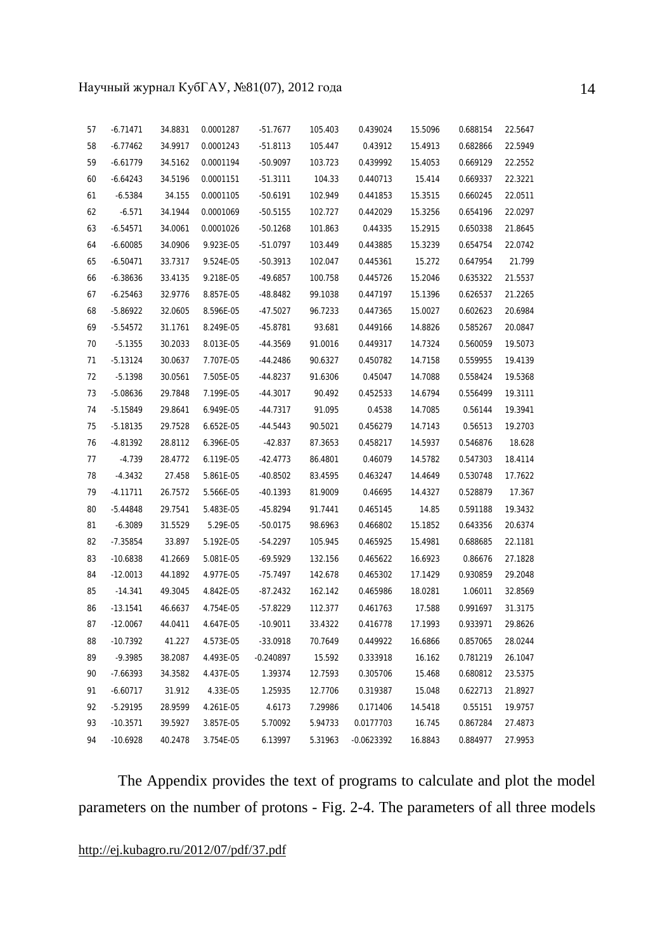| 57 | $-6.71471$ | 34.8831 | 0.0001287 | $-51.7677$  | 105.403 | 0.439024     | 15.5096 | 0.688154 | 22.5647 |
|----|------------|---------|-----------|-------------|---------|--------------|---------|----------|---------|
| 58 | $-6.77462$ | 34.9917 | 0.0001243 | $-51.8113$  | 105.447 | 0.43912      | 15.4913 | 0.682866 | 22.5949 |
| 59 | $-6.61779$ | 34.5162 | 0.0001194 | $-50.9097$  | 103.723 | 0.439992     | 15.4053 | 0.669129 | 22.2552 |
| 60 | $-6.64243$ | 34.5196 | 0.0001151 | $-51.3111$  | 104.33  | 0.440713     | 15.414  | 0.669337 | 22.3221 |
| 61 | $-6.5384$  | 34.155  | 0.0001105 | $-50.6191$  | 102.949 | 0.441853     | 15.3515 | 0.660245 | 22.0511 |
| 62 | $-6.571$   | 34.1944 | 0.0001069 | $-50.5155$  | 102.727 | 0.442029     | 15.3256 | 0.654196 | 22.0297 |
| 63 | $-6.54571$ | 34.0061 | 0.0001026 | $-50.1268$  | 101.863 | 0.44335      | 15.2915 | 0.650338 | 21.8645 |
| 64 | $-6.60085$ | 34.0906 | 9.923E-05 | $-51.0797$  | 103.449 | 0.443885     | 15.3239 | 0.654754 | 22.0742 |
| 65 | $-6.50471$ | 33.7317 | 9.524E-05 | $-50.3913$  | 102.047 | 0.445361     | 15.272  | 0.647954 | 21.799  |
| 66 | $-6.38636$ | 33.4135 | 9.218E-05 | $-49.6857$  | 100.758 | 0.445726     | 15.2046 | 0.635322 | 21.5537 |
| 67 | $-6.25463$ | 32.9776 | 8.857E-05 | -48.8482    | 99.1038 | 0.447197     | 15.1396 | 0.626537 | 21.2265 |
| 68 | $-5.86922$ | 32.0605 | 8.596E-05 | $-47.5027$  | 96.7233 | 0.447365     | 15.0027 | 0.602623 | 20.6984 |
| 69 | $-5.54572$ | 31.1761 | 8.249E-05 | $-45.8781$  | 93.681  | 0.449166     | 14.8826 | 0.585267 | 20.0847 |
| 70 | $-5.1355$  | 30.2033 | 8.013E-05 | -44.3569    | 91.0016 | 0.449317     | 14.7324 | 0.560059 | 19.5073 |
| 71 | $-5.13124$ | 30.0637 | 7.707E-05 | $-44.2486$  | 90.6327 | 0.450782     | 14.7158 | 0.559955 | 19.4139 |
| 72 | $-5.1398$  | 30.0561 | 7.505E-05 | -44.8237    | 91.6306 | 0.45047      | 14.7088 | 0.558424 | 19.5368 |
| 73 | -5.08636   | 29.7848 | 7.199E-05 | $-44.3017$  | 90.492  | 0.452533     | 14.6794 | 0.556499 | 19.3111 |
| 74 | $-5.15849$ | 29.8641 | 6.949E-05 | $-44.7317$  | 91.095  | 0.4538       | 14.7085 | 0.56144  | 19.3941 |
| 75 | $-5.18135$ | 29.7528 | 6.652E-05 | $-44.5443$  | 90.5021 | 0.456279     | 14.7143 | 0.56513  | 19.2703 |
| 76 | -4.81392   | 28.8112 | 6.396E-05 | $-42.837$   | 87.3653 | 0.458217     | 14.5937 | 0.546876 | 18.628  |
| 77 | $-4.739$   | 28.4772 | 6.119E-05 | $-42.4773$  | 86.4801 | 0.46079      | 14.5782 | 0.547303 | 18.4114 |
| 78 | $-4.3432$  | 27.458  | 5.861E-05 | $-40.8502$  | 83.4595 | 0.463247     | 14.4649 | 0.530748 | 17.7622 |
| 79 | $-4.11711$ | 26.7572 | 5.566E-05 | $-40.1393$  | 81.9009 | 0.46695      | 14.4327 | 0.528879 | 17.367  |
| 80 | -5.44848   | 29.7541 | 5.483E-05 | $-45.8294$  | 91.7441 | 0.465145     | 14.85   | 0.591188 | 19.3432 |
| 81 | $-6.3089$  | 31.5529 | 5.29E-05  | $-50.0175$  | 98.6963 | 0.466802     | 15.1852 | 0.643356 | 20.6374 |
| 82 | $-7.35854$ | 33.897  | 5.192E-05 | -54.2297    | 105.945 | 0.465925     | 15.4981 | 0.688685 | 22.1181 |
| 83 | $-10.6838$ | 41.2669 | 5.081E-05 | $-69.5929$  | 132.156 | 0.465622     | 16.6923 | 0.86676  | 27.1828 |
| 84 | $-12.0013$ | 44.1892 | 4.977E-05 | $-75.7497$  | 142.678 | 0.465302     | 17.1429 | 0.930859 | 29.2048 |
| 85 | $-14.341$  | 49.3045 | 4.842E-05 | -87.2432    | 162.142 | 0.465986     | 18.0281 | 1.06011  | 32.8569 |
| 86 | $-13.1541$ | 46.6637 | 4.754E-05 | $-57.8229$  | 112.377 | 0.461763     | 17.588  | 0.991697 | 31.3175 |
| 87 | $-12.0067$ | 44.0411 | 4.647E-05 | $-10.9011$  | 33.4322 | 0.416778     | 17.1993 | 0.933971 | 29.8626 |
| 88 | $-10.7392$ | 41.227  | 4.573E-05 | $-33.0918$  | 70.7649 | 0.449922     | 16.6866 | 0.857065 | 28.0244 |
| 89 | $-9.3985$  | 38.2087 | 4.493E-05 | $-0.240897$ | 15.592  | 0.333918     | 16.162  | 0.781219 | 26.1047 |
| 90 | $-7.66393$ | 34.3582 | 4.437E-05 | 1.39374     | 12.7593 | 0.305706     | 15.468  | 0.680812 | 23.5375 |
| 91 | $-6.60717$ | 31.912  | 4.33E-05  | 1.25935     | 12.7706 | 0.319387     | 15.048  | 0.622713 | 21.8927 |
| 92 | $-5.29195$ | 28.9599 | 4.261E-05 | 4.6173      | 7.29986 | 0.171406     | 14.5418 | 0.55151  | 19.9757 |
| 93 | $-10.3571$ | 39.5927 | 3.857E-05 | 5.70092     | 5.94733 | 0.0177703    | 16.745  | 0.867284 | 27.4873 |
| 94 | $-10.6928$ | 40.2478 | 3.754E-05 | 6.13997     | 5.31963 | $-0.0623392$ | 16.8843 | 0.884977 | 27.9953 |

The Appendix provides the text of programs to calculate and plot the model parameters on the number of protons - Fig. 2-4. The parameters of all three models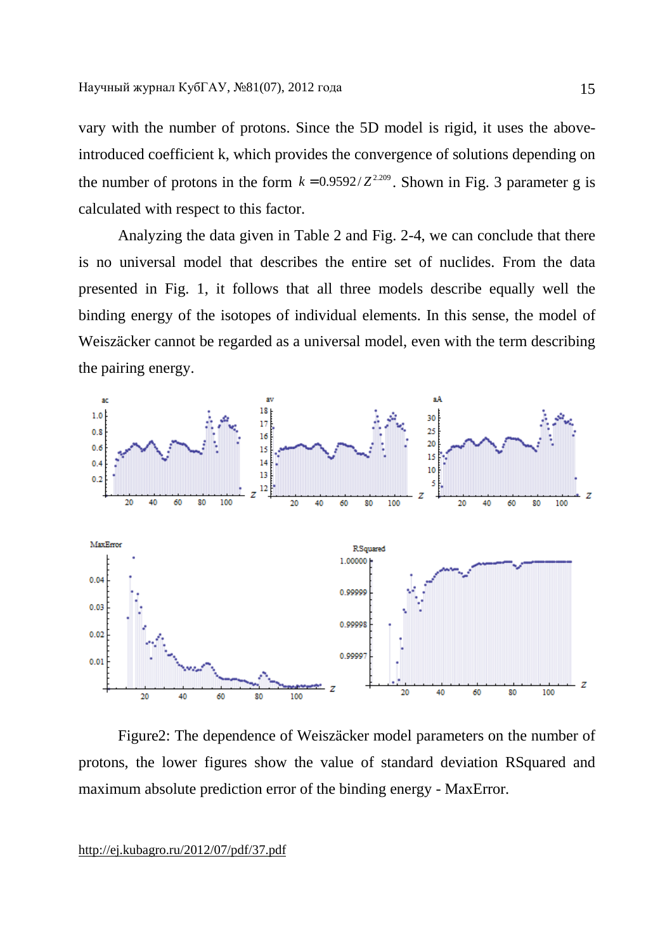vary with the number of protons. Since the 5D model is rigid, it uses the aboveintroduced coefficient k, which provides the convergence of solutions depending on the number of protons in the form  $k = 0.9592/Z^{2.209}$ . Shown in Fig. 3 parameter g is calculated with respect to this factor.

Analyzing the data given in Table 2 and Fig. 2-4, we can conclude that there is no universal model that describes the entire set of nuclides. From the data presented in Fig. 1, it follows that all three models describe equally well the binding energy of the isotopes of individual elements. In this sense, the model of Weiszäcker cannot be regarded as a universal model, even with the term describing the pairing energy.



Figure2: The dependence of Weiszäcker model parameters on the number of protons, the lower figures show the value of standard deviation RSquared and maximum absolute prediction error of the binding energy - MaxError.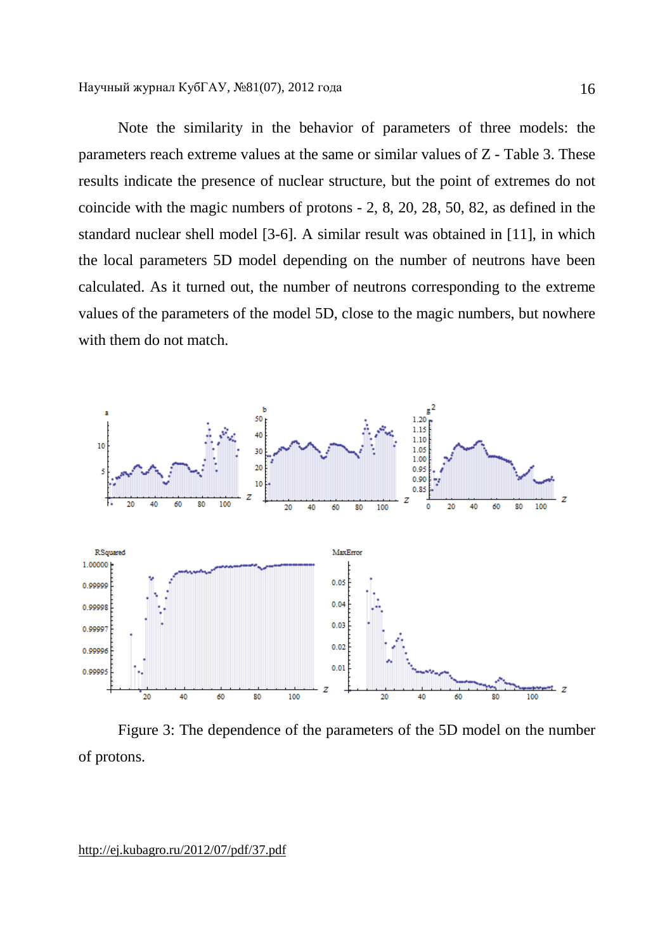Note the similarity in the behavior of parameters of three models: the parameters reach extreme values at the same or similar values of Z - Table 3. These results indicate the presence of nuclear structure, but the point of extremes do not coincide with the magic numbers of protons - 2, 8, 20, 28, 50, 82, as defined in the standard nuclear shell model [3-6]. A similar result was obtained in [11], in which the local parameters 5D model depending on the number of neutrons have been calculated. As it turned out, the number of neutrons corresponding to the extreme values of the parameters of the model 5D, close to the magic numbers, but nowhere with them do not match.



Figure 3: The dependence of the parameters of the 5D model on the number of protons.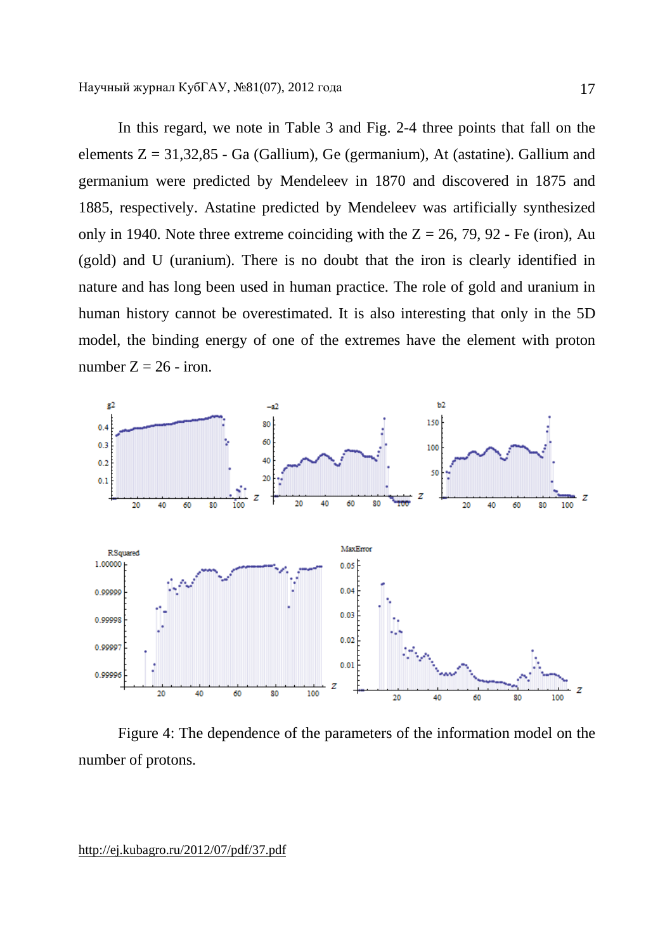In this regard, we note in Table 3 and Fig. 2-4 three points that fall on the elements  $Z = 31,32,85$  - Ga (Gallium), Ge (germanium), At (astatine). Gallium and germanium were predicted by Mendeleev in 1870 and discovered in 1875 and 1885, respectively. Astatine predicted by Mendeleev was artificially synthesized only in 1940. Note three extreme coinciding with the  $Z = 26, 79, 92$  - Fe (iron), Au (gold) and U (uranium). There is no doubt that the iron is clearly identified in nature and has long been used in human practice. The role of gold and uranium in human history cannot be overestimated. It is also interesting that only in the 5D model, the binding energy of one of the extremes have the element with proton number  $Z = 26$  - iron.



Figure 4: The dependence of the parameters of the information model on the number of protons.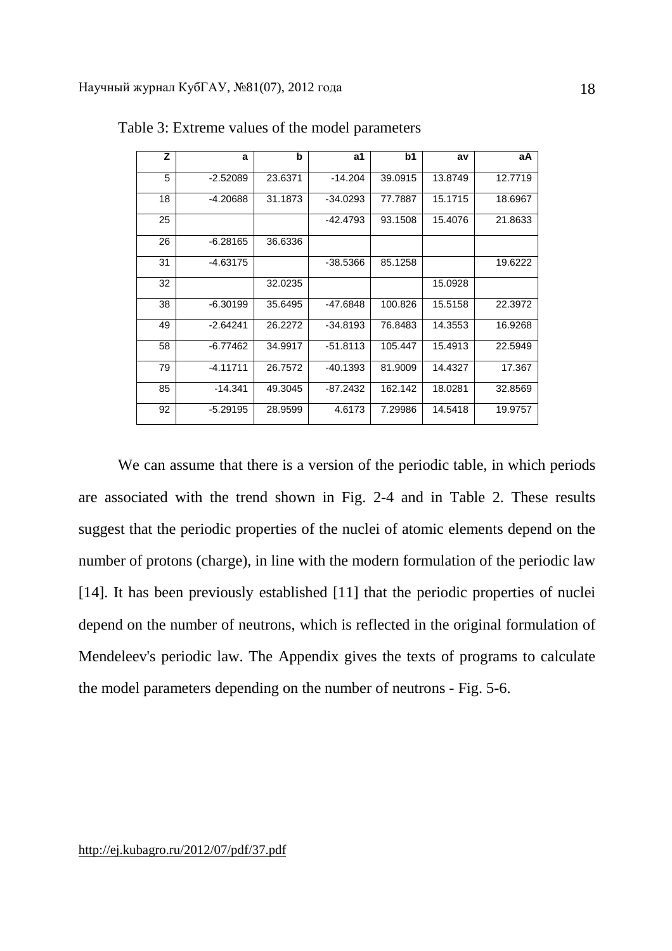| z  | a          | b       | a1         | b1      | av      | aA      |
|----|------------|---------|------------|---------|---------|---------|
| 5  | $-2.52089$ | 23.6371 | $-14.204$  | 39.0915 | 13.8749 | 12.7719 |
| 18 | -4.20688   | 31.1873 | $-34.0293$ | 77.7887 | 15.1715 | 18.6967 |
| 25 |            |         | -42.4793   | 93.1508 | 15.4076 | 21.8633 |
| 26 | $-6.28165$ | 36.6336 |            |         |         |         |
| 31 | -4.63175   |         | $-38.5366$ | 85.1258 |         | 19.6222 |
| 32 |            | 32.0235 |            |         | 15.0928 |         |
| 38 | $-6.30199$ | 35.6495 | $-47.6848$ | 100.826 | 15.5158 | 22.3972 |
| 49 | $-2.64241$ | 26.2272 | $-34.8193$ | 76.8483 | 14.3553 | 16.9268 |
| 58 | $-6.77462$ | 34.9917 | $-51.8113$ | 105.447 | 15.4913 | 22.5949 |
| 79 | $-4.11711$ | 26.7572 | $-40.1393$ | 81.9009 | 14.4327 | 17.367  |
| 85 | $-14.341$  | 49.3045 | $-87.2432$ | 162.142 | 18.0281 | 32.8569 |
| 92 | -5.29195   | 28.9599 | 4.6173     | 7.29986 | 14.5418 | 19.9757 |

Table 3: Extreme values of the model parameters

We can assume that there is a version of the periodic table, in which periods are associated with the trend shown in Fig. 2-4 and in Table 2. These results suggest that the periodic properties of the nuclei of atomic elements depend on the number of protons (charge), in line with the modern formulation of the periodic law [14]. It has been previously established [11] that the periodic properties of nuclei depend on the number of neutrons, which is reflected in the original formulation of Mendeleev's periodic law. The Appendix gives the texts of programs to calculate the model parameters depending on the number of neutrons - Fig. 5-6.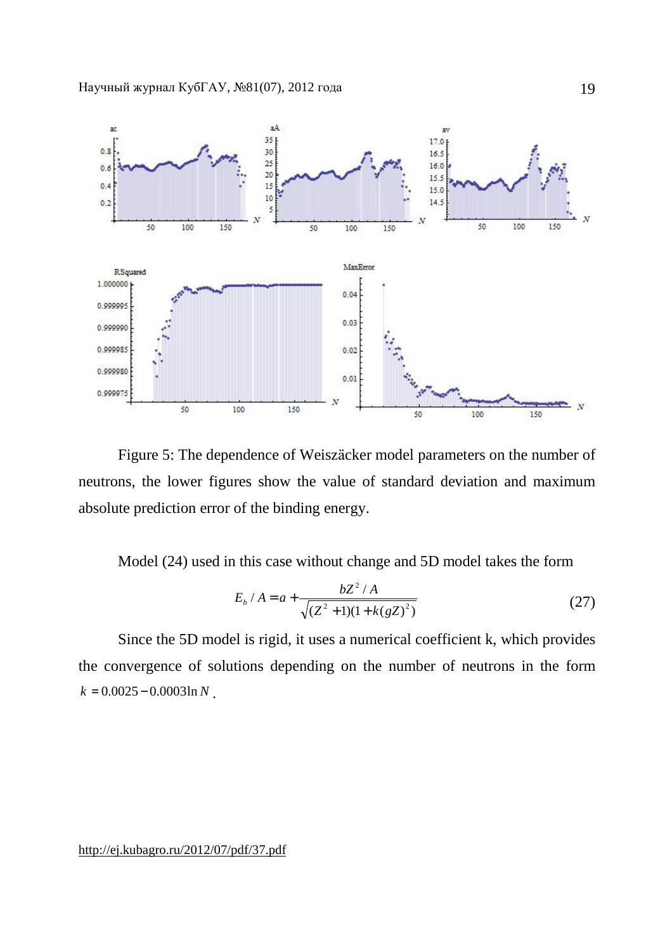

Figure 5: The dependence of Weiszäcker model parameters on the number of neutrons, the lower figures show the value of standard deviation and maximum absolute prediction error of the binding energy.

Model (24) used in this case without change and 5D model takes the form

$$
E_b / A = a + \frac{bZ^2 / A}{\sqrt{(Z^2 + 1)(1 + k(gZ)^2)}}
$$
 (27)

Since the 5D model is rigid, it uses a numerical coefficient k, which provides the convergence of solutions depending on the number of neutrons in the form  $k = 0.0025 - 0.0003 \ln N$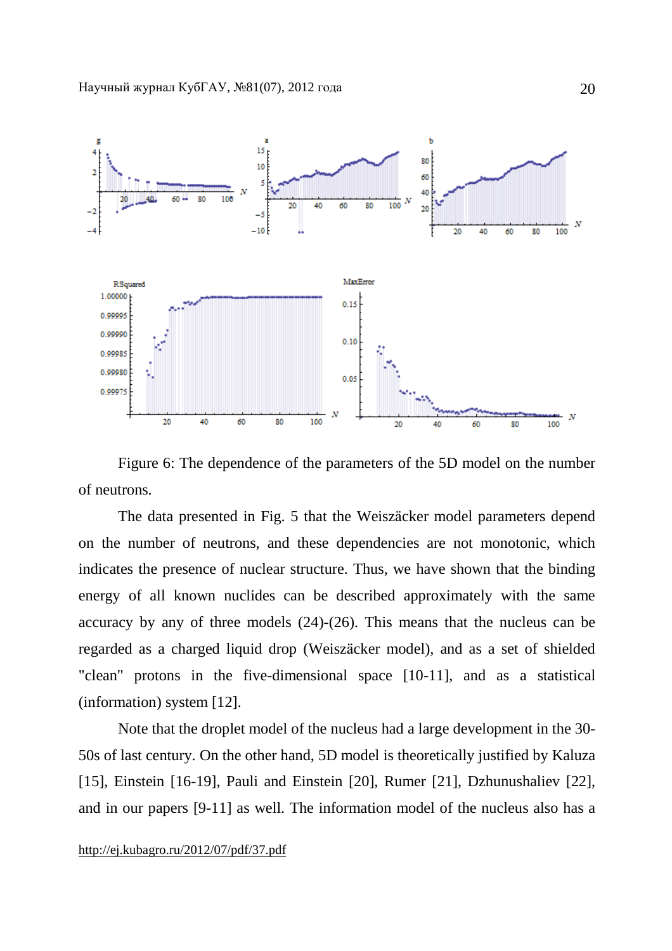

Figure 6: The dependence of the parameters of the 5D model on the number of neutrons.

The data presented in Fig. 5 that the Weiszäcker model parameters depend on the number of neutrons, and these dependencies are not monotonic, which indicates the presence of nuclear structure. Thus, we have shown that the binding energy of all known nuclides can be described approximately with the same accuracy by any of three models (24)-(26). This means that the nucleus can be regarded as a charged liquid drop (Weiszäcker model), and as a set of shielded "clean" protons in the five-dimensional space [10-11], and as a statistical (information) system [12].

Note that the droplet model of the nucleus had a large development in the 30- 50s of last century. On the other hand, 5D model is theoretically justified by Kaluza [15], Einstein [16-19], Pauli and Einstein [20], Rumer [21], Dzhunushaliev [22], and in our papers [9-11] as well. The information model of the nucleus also has a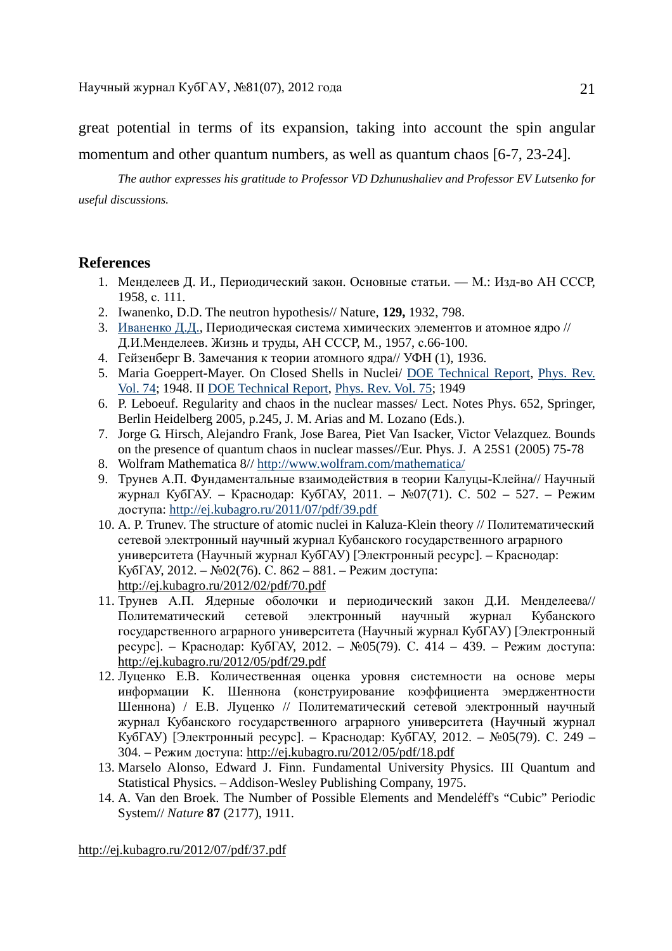great potential in terms of its expansion, taking into account the spin angular momentum and other quantum numbers, as well as quantum chaos [6-7, 23-24].

*The author expresses his gratitude to Professor VD Dzhunushaliev and Professor EV Lutsenko for useful discussions.* 

# **References**

- 1. Менделеев Д. И., Периодический закон. Основные статьи. М.: Изд-во АН СССР, 1958, с. 111.
- 2. Iwanenko, D.D. The neutron hypothesis// Nature, **129,** 1932, 798.
- 3. Иваненко Д.Д., Периодическая система химических элементов и атомное ядро // Д.И.Менделеев. Жизнь и труды, АН СССР, М., 1957, с.66-100.
- 4. Гейзенберг В. Замечания к теории атомного ядра// УФН (1), 1936.
- 5. Maria Goeppert-Mayer. On Closed Shells in Nuclei/ DOE Technical Report, Phys. Rev. Vol. 74; 1948. II DOE Technical Report, Phys. Rev. Vol. 75; 1949
- 6. P. Leboeuf. Regularity and chaos in the nuclear masses/ Lect. Notes Phys. 652, Springer, Berlin Heidelberg 2005, p.245, J. M. Arias and M. Lozano (Eds.).
- 7. Jorge G. Hirsch, Alejandro Frank, Jose Barea, Piet Van Isacker, Victor Velazquez. Bounds on the presence of quantum chaos in nuclear masses//Eur. Phys. J. A 25S1 (2005) 75-78
- 8. Wolfram Mathematica 8// <http://www.wolfram.com/mathematica/>
- 9. Трунев А.П. Фундаментальные взаимодействия в теории Калуцы-Клейна// Научный журнал КубГАУ. – Краснодар: КубГАУ, 2011. – №07(71). С. 502 – 527. – Режим доступа:<http://ej.kubagro.ru/2011/07/pdf/39.pdf>
- 10. A. P. Trunev. The structure of atomic nuclei in Kaluza-Klein theory // Политематический сетевой электронный научный журнал Кубанского государственного аграрного университета (Научный журнал КубГАУ) [Электронный ресурс]. – Краснодар: КубГАУ, 2012. – №02(76). С. 862 – 881. – Режим доступа: <http://ej.kubagro.ru/2012/02/pdf/70.pdf>
- 11. Трунев А.П. Ядерные оболочки и периодический закон Д.И. Менделеева// Политематический сетевой электронный научный журнал Кубанского государственного аграрного университета (Научный журнал КубГАУ) [Электронный ресурс]. – Краснодар: КубГАУ, 2012. – №05(79). С. 414 – 439. – Режим доступа: <http://ej.kubagro.ru/2012/05/pdf/29.pdf>
- 12. Луценко Е.В. Количественная оценка уровня системности на основе меры информации К. Шеннона (конструирование коэффициента эмерджентности Шеннона) / Е.В. Луценко // Политематический сетевой электронный научный журнал Кубанского государственного аграрного университета (Научный журнал КубГАУ) [Электронный ресурс]. – Краснодар: КубГАУ, 2012. – №05(79). С. 249 – 304. – Режим доступа:<http://ej.kubagro.ru/2012/05/pdf/18.pdf>
- 13. Marselo Alonso, Edward J. Finn. Fundamental University Physics. III Quantum and Statistical Physics. – Addison-Wesley Publishing Company, 1975.
- 14. A. Van den Broek. The Number of Possible Elements and Mendeléff's "Cubic" Periodic System// *Nature* **87** (2177), 1911.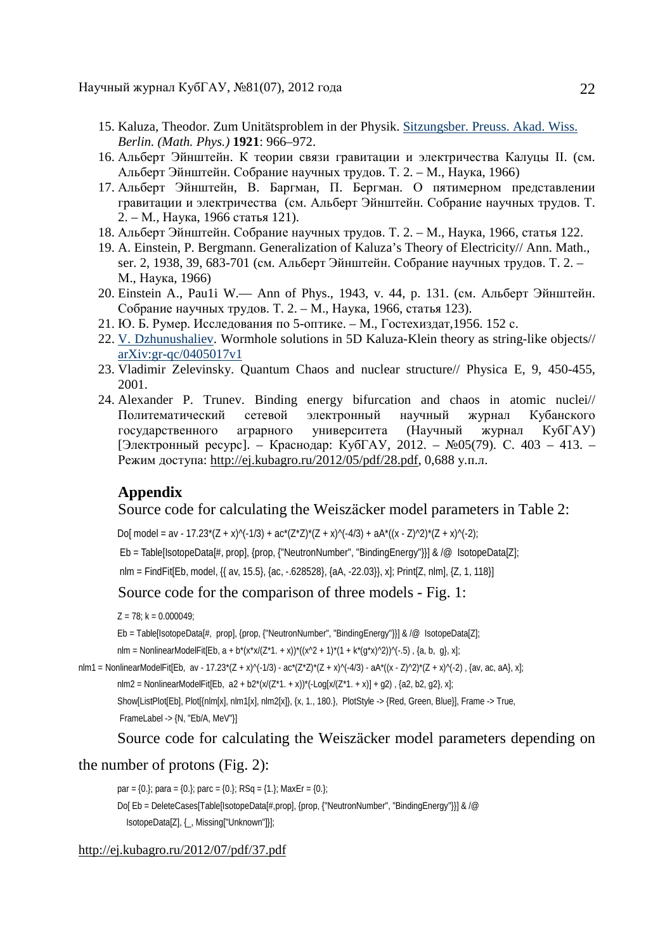- 15. Kaluza, Theodor. Zum Unitätsproblem in der Physik. Sitzungsber. Preuss. Akad. Wiss. *Berlin. (Math. Phys.)* **1921**: 966–972.
- 16. Альберт Эйнштейн. К теории связи гравитации и электричества Калуцы II. (см. Альберт Эйнштейн. Собрание научных трудов. Т. 2. – М., Наука, 1966)
- 17. Альберт Эйнштейн, В. Баргман, П. Бергман. О пятимерном представлении гравитации и электричества (см. Альберт Эйнштейн. Собрание научных трудов. Т. 2. – М., Наука, 1966 статья 121).
- 18. Альберт Эйнштейн. Собрание научных трудов. Т. 2. М., Наука, 1966, статья 122.
- 19. A. Einstein, P. Bergmann. Generalization of Kaluza's Theory of Electricity// Ann. Math., ser. 2, 1938, 39, 683-701 (см. Альберт Эйнштейн. Собрание научных трудов. Т. 2. – М., Наука, 1966)
- 20. Einstein A., Pau1i W.— Ann of Phys., 1943, v. 44, p. 131. (см. Альберт Эйнштейн. Собрание научных трудов. Т. 2. – М., Наука, 1966, статья 123).
- 21. Ю. Б. Румер. Исследования по 5-оптике. М., Гостехиздат,1956. 152 с.
- 22. V. Dzhunushaliev. Wormhole solutions in 5D Kaluza-Klein theory as string-like objects// arXiv:gr-qc/0405017v1
- 23. Vladimir Zelevinsky. Quantum Chaos and nuclear structure// Physica E, 9, 450-455, 2001.
- 24. Alexander P. Trunev. Binding energy bifurcation and chaos in atomic nuclei// Политематический сетевой электронный научный журнал Кубанского государственного аграрного университета (Научный журнал КубГАУ) [Электронный ресурс]. – Краснодар: КубГАУ, 2012. – №05(79). С. 403 – 413. – Режим доступа:<http://ej.kubagro.ru/2012/05/pdf/28.pdf>, 0,688 у.п.л.

# **Appendix**

### Source code for calculating the Weiszäcker model parameters in Table 2:

Do[model = av - 17.23\*(Z + x)^(-1/3) + ac\*(Z\*Z)\*(Z + x)^(-4/3) + aA\*((x - Z)^2)\*(Z + x)^(-2);

Eb = Table[IsotopeData[#, prop], {prop, {"NeutronNumber", "BindingEnergy"}}] & /@ IsotopeData[Z];

nlm = FindFit[Eb, model, {{ av, 15.5}, {ac, -.628528}, {aA, -22.03}}, x]; Print[Z, nlm], {Z, 1, 118}]

# Source code for the comparison of three models - Fig. 1:

 $Z = 78$ ; k = 0.000049;

Eb = Table[IsotopeData[#, prop], {prop, {"NeutronNumber", "BindingEnergy"}}] & /@ IsotopeData[Z];

nlm = NonlinearModelFit[Eb,  $a + b^{*}(x^{*}x/(Z^{*}1. + x))^{*}((x^{2} + 1)^{*}(1 + k^{*}(q^{*}x)^{2}))^{2}(-.5)$ ,  $\{a, b, q\}$ , x];

```
nlm1 = NonlinearModelFit[Eb, av - 17.23*(Z + x)^(-1/3) - ac*(Z*Z)*(Z + x)^(-4/3) - aA*((x - Z)^2)*(Z + x)^(-2) , {av, ac, aA}, x];
```
nlm2 = NonlinearModelFit[Eb,  $a2 + b2^{*}(x/(2^{*}1. + x))^{*}(-\text{Log}[x/(2^{*}1. + x)] + g2)$ ,  $\{a2, b2, g2\}$ ,  $x$ ];

Show[ListPlot[Eb], Plot[{nlm[x], nlm1[x], nlm2[x]}, {x, 1., 180.}, PlotStyle -> {Red, Green, Blue}], Frame -> True,

FrameLabel -> {N, "Eb/A, MeV"}]

Source code for calculating the Weiszäcker model parameters depending on

### the number of protons (Fig. 2):

par =  ${0.}$ ; para =  ${0.}$ ; parc =  ${0.}$ ; RSq =  ${1.}$ ; MaxEr =  ${0.}$ ; Dol Eb = DeleteCases(Table[IsotopeData[#.prop], {prop, {"NeutronNumber", "BindingEnergy"}}] & /@ IsotopeData[Z], {\_, Missing["Unknown"]}];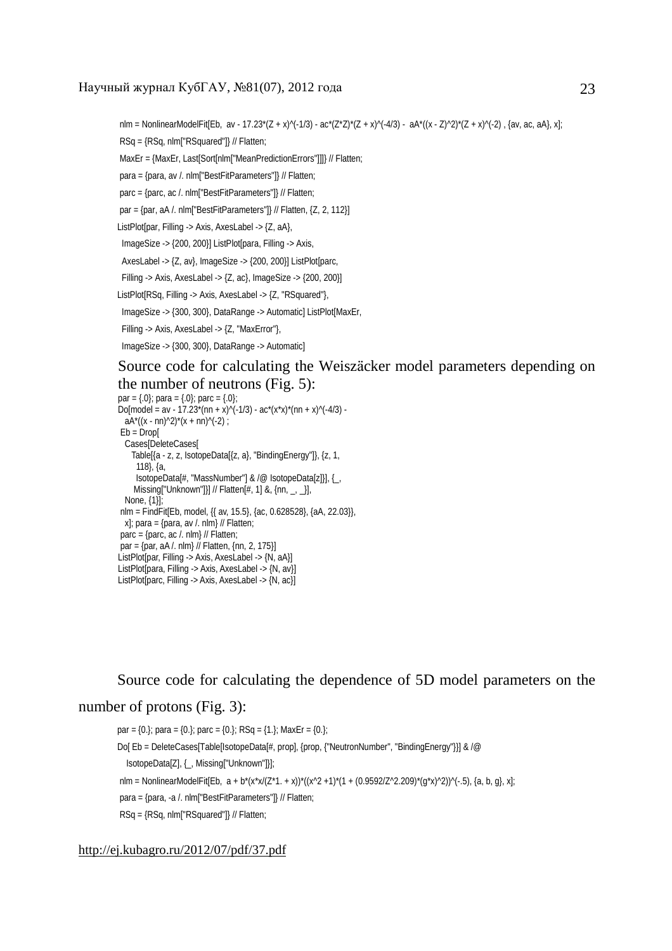nlm = NonlinearModelFit[Eb, av - 17.23\*(Z + x)^(-1/3) - ac\*(Z\*Z)\*(Z + x)^(-4/3) - aA\*((x - Z)^2)\*(Z + x)^(-2) , {av, ac, aA}, x];

RSq = {RSq, nlm["RSquared"]} // Flatten;

MaxEr = {MaxEr, Last[Sort[nlm["MeanPredictionErrors"]]]} // Flatten;

para = {para, av /. nlm["BestFitParameters"]} // Flatten;

parc = {parc, ac /. nlm["BestFitParameters"]} // Flatten;

par =  $\{par, aA / . nIm["BestFitParameters"] \}$  // Flatten,  $\{Z, 2, 112\}$ 

ListPlot[par, Filling -> Axis, AxesLabel -> {Z, aA},

ImageSize -> {200, 200}] ListPlot[para, Filling -> Axis,

AxesLabel -> {Z, av}, ImageSize -> {200, 200}] ListPlot[parc,

Filling -> Axis, AxesLabel -> {Z, ac}, ImageSize -> {200, 200}]

ListPlot[RSq, Filling -> Axis, AxesLabel -> {Z, "RSquared"},

ImageSize -> {300, 300}, DataRange -> Automatic] ListPlot[MaxEr,

Filling -> Axis, AxesLabel -> {Z, "MaxError"},

ImageSize -> {300, 300}, DataRange -> Automatic]

# Source code for calculating the Weiszäcker model parameters depending on the number of neutrons (Fig. 5):

```
par = \{.0\}; para = \{.0\}; parc = \{.0\};
Do[model = av - 17.23*(nn + x)^(-1/3) - ac*(x*x)*(nn + x)^(-4/3) -aA^*((x - nn)^2)^*(x + nn)^(-2) ;
Eb = DropCases[DeleteCases[ 
    Table[{a - z, z, IsotopeData[{z, a}, "BindingEnergy"]}, {z, 1, 
      118}, {a, 
      IsotopeData[#, "MassNumber"] & /@ IsotopeData[z]}], {_, 
    Missing["Unknown"]}] // Flatten[#, 1] &, \{\text{nn}, \_ , \_ \}],
  None, {1}]; 
nlm = FindFit[Eb, model, {{ av, 15.5}, {ac, 0.628528}, {aA, 22.03}}, 
 x]; para = {para, av /. nlm} // Flatten;
parc = {parc, ac /. nlm} // Flatten; 
par = {par, aA /. nlm} // Flatten, {nn, 2, 175}] 
ListPlot[par, Filling -> Axis, AxesLabel -> {N, aA}] 
ListPlot[para, Filling -> Axis, AxesLabel -> {N, av}] 
ListPlot[parc, Filling -> Axis, AxesLabel -> {N, ac}]
```
Source code for calculating the dependence of 5D model parameters on the

## number of protons (Fig. 3):

par =  $\{0.\}$ ; para =  $\{0.\}$ ; parc =  $\{0.\}$ ; RSq =  $\{1.\}$ ; MaxEr =  $\{0.\}$ ; Do[ Eb = DeleteCases[Table[IsotopeData[#, prop], {prop, {"NeutronNumber", "BindingEnergy"}}] & /@ IsotopeData[Z], {\_, Missing["Unknown"]}]; nlm = NonlinearModelFit[Eb,  $a + b^{*}(x^{*}x/(Z^{*}1 + x))^{*}((x^{2} 2 +1)^{*}(1 + (0.9592/Z^{*}2.209)^{*}(q^{*}x)^{2}))^{(-1.5)}$ , {a, b, g}, x]; para = {para, -a /. nlm["BestFitParameters"]} // Flatten; RSq = {RSq, nlm["RSquared"]} // Flatten;